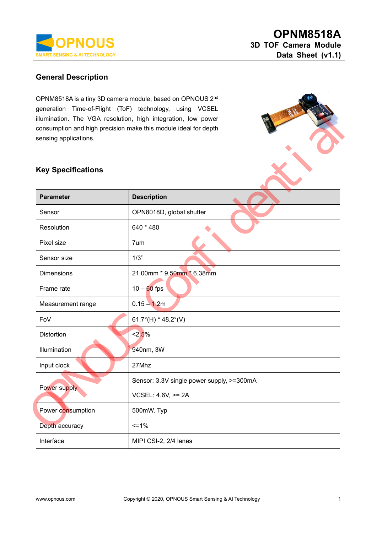

## **General Description**

OPNM8518A is a tiny 3D camera module, based on OPNOUS 2nd generation Time-of-Flight (ToF) technology, using VCSEL illumination. The VGA resolution, high integration, low power consumption and high precision make this module ideal for depth sensing applications.

#### **Key Specifications**

| $y$ criteration intervi-ringing (TOF) technology, using vCSEL<br>illumination. The VGA resolution, high integration, low power<br>consumption and high precision make this module ideal for depth<br>sensing applications. |                                           |  |  |  |  |
|----------------------------------------------------------------------------------------------------------------------------------------------------------------------------------------------------------------------------|-------------------------------------------|--|--|--|--|
| <b>Key Specifications</b>                                                                                                                                                                                                  |                                           |  |  |  |  |
| <b>Parameter</b>                                                                                                                                                                                                           | <b>Description</b>                        |  |  |  |  |
| Sensor                                                                                                                                                                                                                     | OPN8018D, global shutter                  |  |  |  |  |
| Resolution                                                                                                                                                                                                                 | 640 * 480                                 |  |  |  |  |
| Pixel size                                                                                                                                                                                                                 | 7um                                       |  |  |  |  |
| Sensor size                                                                                                                                                                                                                | 1/3"                                      |  |  |  |  |
| <b>Dimensions</b>                                                                                                                                                                                                          | 21.00mm * 9.50mm * 6.38mm                 |  |  |  |  |
| Frame rate                                                                                                                                                                                                                 | $10 - 60$ fps                             |  |  |  |  |
| Measurement range                                                                                                                                                                                                          | $0.15 - 1.2m$                             |  |  |  |  |
| FoV                                                                                                                                                                                                                        | 61.7°(H) * 48.2°(V)                       |  |  |  |  |
| <b>Distortion</b>                                                                                                                                                                                                          | 2.5%                                      |  |  |  |  |
| Illumination                                                                                                                                                                                                               | 940nm, 3W                                 |  |  |  |  |
| Input clock                                                                                                                                                                                                                | 27Mhz                                     |  |  |  |  |
| Power supply                                                                                                                                                                                                               | Sensor: 3.3V single power supply, >=300mA |  |  |  |  |
|                                                                                                                                                                                                                            | VCSEL: 4.6V, >= 2A                        |  |  |  |  |
| Power consumption                                                                                                                                                                                                          | 500mW. Typ                                |  |  |  |  |
| Depth accuracy                                                                                                                                                                                                             | $=1%$                                     |  |  |  |  |
| Interface                                                                                                                                                                                                                  | MIPI CSI-2, 2/4 lanes                     |  |  |  |  |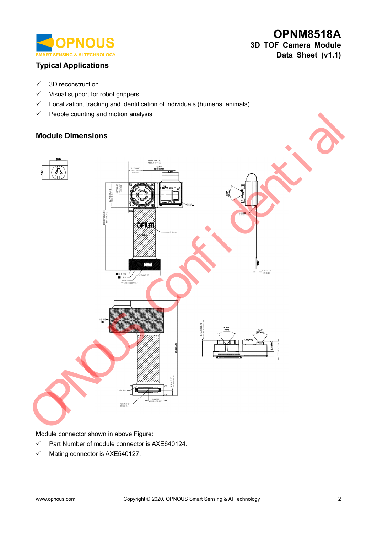

# **Typical Applications**

- ✓ 3D reconstruction
- ✓ Visual support for robot grippers
- ✓ Localization, tracking and identification of individuals (humans, animals)
- ✓ People counting and motion analysis

#### **Module Dimensions**



Module connector shown in above Figure:

- ✓ Part Number of module connector is AXE640124.
- ✓ Mating connector is AXE540127.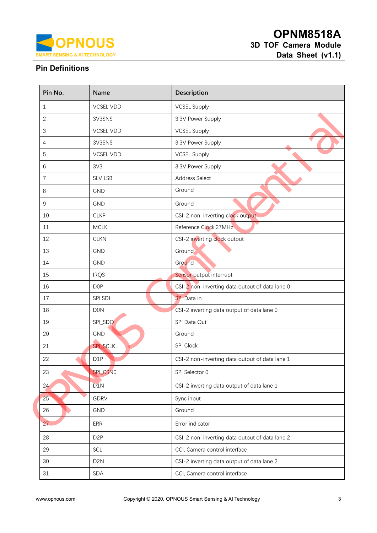

# **Pin Definitions**

| Pin No.        | Name             | Description                                    |  |
|----------------|------------------|------------------------------------------------|--|
| $\mathbf{1}$   | <b>VCSEL VDD</b> | <b>VCSEL Supply</b>                            |  |
| $\overline{2}$ | 3V3SNS           | 3.3V Power Supply                              |  |
| $\sqrt{3}$     | <b>VCSEL VDD</b> | <b>VCSEL Supply</b>                            |  |
| $\overline{4}$ | 3V3SNS           | 3.3V Power Supply                              |  |
| 5              | <b>VCSEL VDD</b> | <b>VCSEL Supply</b>                            |  |
| $6\,$          | 3V3              | 3.3V Power Supply                              |  |
| $\overline{7}$ | <b>SLV LSB</b>   | <b>Address Select</b>                          |  |
| 8              | <b>GND</b>       | Ground                                         |  |
| $\mathsf g$    | <b>GND</b>       | Ground                                         |  |
| 10             | <b>CLKP</b>      | CSI-2 non-inverting clock output.              |  |
| 11             | <b>MCLK</b>      | Reference Clock, 27MHz                         |  |
| 12             | <b>CLKN</b>      | CSI-2 inverting clock output                   |  |
| 13             | <b>GND</b>       | Ground                                         |  |
| 14             | <b>GND</b>       | Ground                                         |  |
| 15             | <b>IRQS</b>      | Sensor output interrupt                        |  |
| 16             | D <sub>OP</sub>  | CSI-2 non-inverting data output of data lane 0 |  |
| 17             | SPI SDI          | <b>SPI</b> Data in                             |  |
| 18             | <b>DON</b>       | CSI-2 inverting data output of data lane 0     |  |
| 19             | SPI_SDO          | SPI Data Out                                   |  |
| 20             | GND              | Ground                                         |  |
| 21             | SPI_SCLK         | SPI Clock                                      |  |
| 22             | D1P              | CSI-2 non-inverting data output of data lane 1 |  |
| 23             | SPI_CSN0         | SPI Selector 0                                 |  |
| 24             | D1N              | CSI-2 inverting data output of data lane 1     |  |
| 25             | GDRV             | Sync input                                     |  |
| 26             | GND              | Ground                                         |  |
| 27             | ERR              | Error indicator                                |  |
| 28             | D <sub>2</sub> P | CSI-2 non-inverting data output of data lane 2 |  |
| 29             | SCL              | CCI, Camera control interface                  |  |
| 30             | D <sub>2</sub> N | CSI-2 inverting data output of data lane 2     |  |
| 31             | SDA              | CCI, Camera control interface                  |  |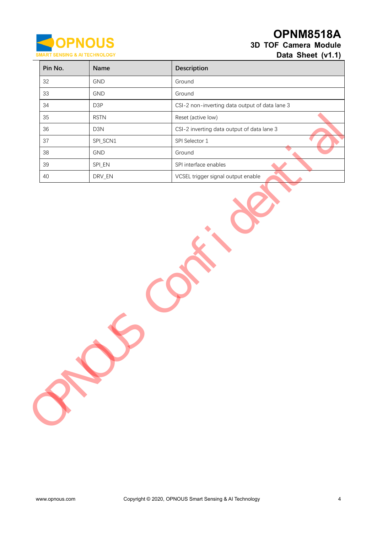

# **OPNM8518A 3D TOF Camera Module**

**Data Sheet (v1.1)**

|        |                    | Description                                    |
|--------|--------------------|------------------------------------------------|
| 32     | GND                | Ground                                         |
| 33     | GND                | Ground                                         |
| $34\,$ | D3P                | CSI-2 non-inverting data output of data lane 3 |
| 35     | <b>RSTN</b>        | Reset (active low)                             |
| 36     | D3N                | CSI-2 inverting data output of data lane 3     |
| 37     | SPI_SCN1           | SPI Selector 1                                 |
| 38     | GND                | $\bullet$<br>Ground                            |
| 39     | SPI_EN             | SPI interface enables                          |
| $40\,$ | $\mathsf{DRV\_EN}$ | VCSEL trigger signal output enable             |
|        |                    |                                                |
|        |                    |                                                |